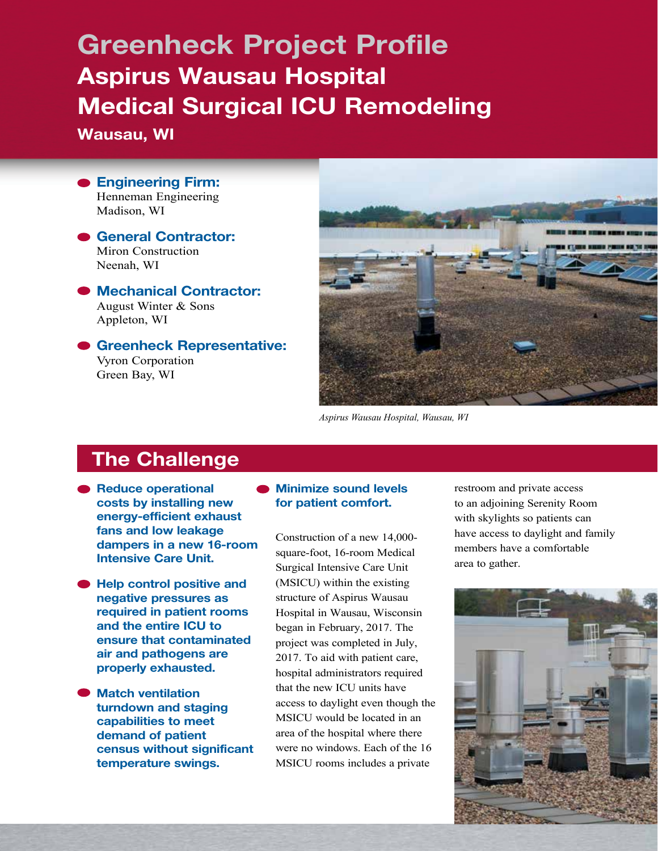# Greenheck Project Profile Aspirus Wausau Hospital Medical Surgical ICU Remodeling

Wausau, WI

**Engineering Firm:** Henneman Engineering Madison, WI

General Contractor: Miron Construction Neenah, WI

● Mechanical Contractor: August Winter & Sons Appleton, WI

Greenheck Representative: Vyron Corporation Green Bay, WI



*Aspirus Wausau Hospital, Wausau, WI*

## The Challenge

- Reduce operational costs by installing new energy-efficient exhaust fans and low leakage dampers in a new 16-room Intensive Care Unit.
- Help control positive and negative pressures as required in patient rooms and the entire ICU to ensure that contaminated air and pathogens are properly exhausted.
- Match ventilation turndown and staging capabilities to meet demand of patient census without significant temperature swings.

#### **Minimize sound levels** for patient comfort.

Construction of a new 14,000 square-foot, 16-room Medical Surgical Intensive Care Unit (MSICU) within the existing structure of Aspirus Wausau Hospital in Wausau, Wisconsin began in February, 2017. The project was completed in July, 2017. To aid with patient care, hospital administrators required that the new ICU units have access to daylight even though the MSICU would be located in an area of the hospital where there were no windows. Each of the 16 MSICU rooms includes a private

restroom and private access to an adjoining Serenity Room with skylights so patients can have access to daylight and family members have a comfortable area to gather.